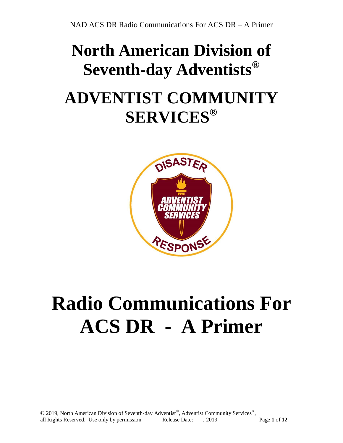## **North American Division of Seventh-day Adventists® ADVENTIST COMMUNITY SERVICES®**



# **Radio Communications For ACS DR - A Primer**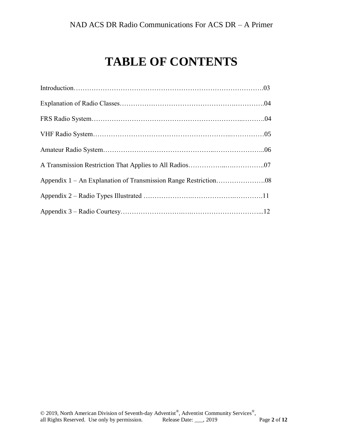### **TABLE OF CONTENTS**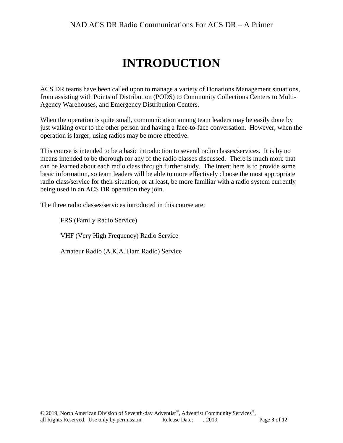### **INTRODUCTION**

ACS DR teams have been called upon to manage a variety of Donations Management situations, from assisting with Points of Distribution (PODS) to Community Collections Centers to Multi-Agency Warehouses, and Emergency Distribution Centers.

When the operation is quite small, communication among team leaders may be easily done by just walking over to the other person and having a face-to-face conversation. However, when the operation is larger, using radios may be more effective.

This course is intended to be a basic introduction to several radio classes/services. It is by no means intended to be thorough for any of the radio classes discussed. There is much more that can be learned about each radio class through further study. The intent here is to provide some basic information, so team leaders will be able to more effectively choose the most appropriate radio class/service for their situation, or at least, be more familiar with a radio system currently being used in an ACS DR operation they join.

The three radio classes/services introduced in this course are:

FRS (Family Radio Service)

VHF (Very High Frequency) Radio Service

Amateur Radio (A.K.A. Ham Radio) Service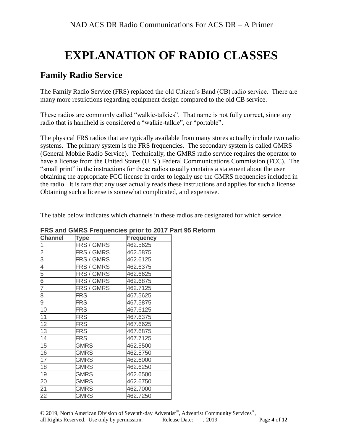### **EXPLANATION OF RADIO CLASSES**

#### **Family Radio Service**

The Family Radio Service (FRS) replaced the old Citizen's Band (CB) radio service. There are many more restrictions regarding equipment design compared to the old CB service.

These radios are commonly called "walkie-talkies". That name is not fully correct, since any radio that is handheld is considered a "walkie-talkie", or "portable".

The physical FRS radios that are typically available from many stores actually include two radio systems. The primary system is the FRS frequencies. The secondary system is called GMRS (General Mobile Radio Service). Technically, the GMRS radio service requires the operator to have a license from the United States (U. S.) Federal Communications Commission (FCC). The "small print" in the instructions for these radios usually contains a statement about the user obtaining the appropriate FCC license in order to legally use the GMRS frequencies included in the radio. It is rare that any user actually reads these instructions and applies for such a license. Obtaining such a license is somewhat complicated, and expensive.

The table below indicates which channels in these radios are designated for which service.

| <b>Channel</b> | Type        | <b>Frequency</b> |
|----------------|-------------|------------------|
| 1              | FRS / GMRS  | 462.5625         |
| $\overline{2}$ | FRS / GMRS  | 462.5875         |
| $\overline{3}$ | FRS / GMRS  | 462.6125         |
| 4              | FRS / GMRS  | 462.6375         |
| $\frac{5}{6}$  | FRS / GMRS  | 462.6625         |
|                | FRS / GMRS  | 462.6875         |
| $\overline{7}$ | FRS / GMRS  | 462.7125         |
| 8              | <b>FRS</b>  | 467.5625         |
| 9              | <b>FRS</b>  | 467.5875         |
| 10             | <b>FRS</b>  | 467.6125         |
| 11             | <b>FRS</b>  | 467.6375         |
| 12             | <b>FRS</b>  | 467.6625         |
| 13             | <b>FRS</b>  | 467.6875         |
| 14             | <b>FRS</b>  | 467.7125         |
| 15             | <b>GMRS</b> | 462.5500         |
| 16             | <b>GMRS</b> | 462.5750         |
| 17             | <b>GMRS</b> | 462.6000         |
| 18             | <b>GMRS</b> | 462.6250         |
| 19             | <b>GMRS</b> | 462.6500         |
| 20             | <b>GMRS</b> | 462.6750         |
| 21             | <b>GMRS</b> | 462.7000         |
| 22             | <b>GMRS</b> | 462.7250         |

#### **FRS and GMRS Frequencies prior to 2017 Part 95 Reform**

© 2019, North American Division of Seventh-day Adventist®, Adventist Community Services®, all Rights Reserved. Use only by permission. Release Date: \_\_\_, 2019 Page **4** of **12**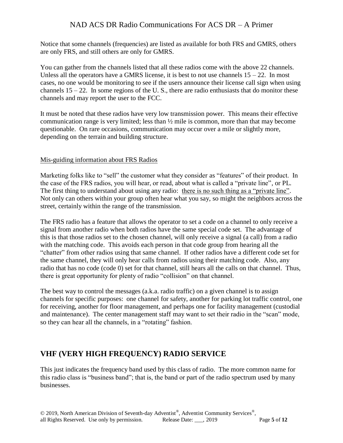Notice that some channels (frequencies) are listed as available for both FRS and GMRS, others are only FRS, and still others are only for GMRS.

You can gather from the channels listed that all these radios come with the above 22 channels. Unless all the operators have a GMRS license, it is best to not use channels  $15 - 22$ . In most cases, no one would be monitoring to see if the users announce their license call sign when using channels  $15 - 22$ . In some regions of the U.S., there are radio enthusiasts that do monitor these channels and may report the user to the FCC.

It must be noted that these radios have very low transmission power. This means their effective communication range is very limited; less than ½ mile is common, more than that may become questionable. On rare occasions, communication may occur over a mile or slightly more, depending on the terrain and building structure.

#### Mis-guiding information about FRS Radios

Marketing folks like to "sell" the customer what they consider as "features" of their product. In the case of the FRS radios, you will hear, or read, about what is called a "private line", or PL. The first thing to understand about using any radio: there is no such thing as a "private line". Not only can others within your group often hear what you say, so might the neighbors across the street, certainly within the range of the transmission.

The FRS radio has a feature that allows the operator to set a code on a channel to only receive a signal from another radio when both radios have the same special code set. The advantage of this is that those radios set to the chosen channel, will only receive a signal (a call) from a radio with the matching code. This avoids each person in that code group from hearing all the "chatter" from other radios using that same channel. If other radios have a different code set for the same channel, they will only hear calls from radios using their matching code. Also, any radio that has no code (code 0) set for that channel, still hears all the calls on that channel. Thus, there is great opportunity for plenty of radio "collision" on that channel.

The best way to control the messages (a.k.a. radio traffic) on a given channel is to assign channels for specific purposes: one channel for safety, another for parking lot traffic control, one for receiving, another for floor management, and perhaps one for facility management (custodial and maintenance). The center management staff may want to set their radio in the "scan" mode, so they can hear all the channels, in a "rotating" fashion.

#### **VHF (VERY HIGH FREQUENCY) RADIO SERVICE**

This just indicates the frequency band used by this class of radio. The more common name for this radio class is "business band"; that is, the band or part of the radio spectrum used by many businesses.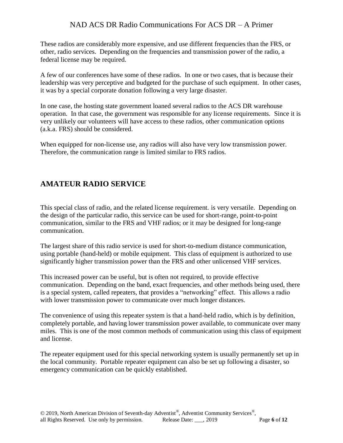These radios are considerably more expensive, and use different frequencies than the FRS, or other, radio services. Depending on the frequencies and transmission power of the radio, a federal license may be required.

A few of our conferences have some of these radios. In one or two cases, that is because their leadership was very perceptive and budgeted for the purchase of such equipment. In other cases, it was by a special corporate donation following a very large disaster.

In one case, the hosting state government loaned several radios to the ACS DR warehouse operation. In that case, the government was responsible for any license requirements. Since it is very unlikely our volunteers will have access to these radios, other communication options (a.k.a. FRS) should be considered.

When equipped for non-license use, any radios will also have very low transmission power. Therefore, the communication range is limited similar to FRS radios.

#### **AMATEUR RADIO SERVICE**

This special class of radio, and the related license requirement. is very versatile. Depending on the design of the particular radio, this service can be used for short-range, point-to-point communication, similar to the FRS and VHF radios; or it may be designed for long-range communication.

The largest share of this radio service is used for short-to-medium distance communication, using portable (hand-held) or mobile equipment. This class of equipment is authorized to use significantly higher transmission power than the FRS and other unlicensed VHF services.

This increased power can be useful, but is often not required, to provide effective communication. Depending on the band, exact frequencies, and other methods being used, there is a special system, called repeaters, that provides a "networking" effect. This allows a radio with lower transmission power to communicate over much longer distances.

The convenience of using this repeater system is that a hand-held radio, which is by definition, completely portable, and having lower transmission power available, to communicate over many miles. This is one of the most common methods of communication using this class of equipment and license.

The repeater equipment used for this special networking system is usually permanently set up in the local community. Portable repeater equipment can also be set up following a disaster, so emergency communication can be quickly established.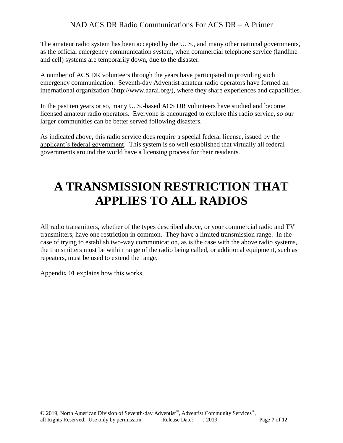The amateur radio system has been accepted by the U. S., and many other national governments, as the official emergency communication system, when commercial telephone service (landline and cell) systems are temporarily down, due to the disaster.

A number of ACS DR volunteers through the years have participated in providing such emergency communication. Seventh-day Adventist amateur radio operators have formed an international organization (http://www.aarai.org/), where they share experiences and capabilities.

In the past ten years or so, many U. S.-based ACS DR volunteers have studied and become licensed amateur radio operators. Everyone is encouraged to explore this radio service, so our larger communities can be better served following disasters.

As indicated above, this radio service does require a special federal license, issued by the applicant's federal government. This system is so well established that virtually all federal governments around the world have a licensing process for their residents.

### **A TRANSMISSION RESTRICTION THAT APPLIES TO ALL RADIOS**

All radio transmitters, whether of the types described above, or your commercial radio and TV transmitters, have one restriction in common. They have a limited transmission range. In the case of trying to establish two-way communication, as is the case with the above radio systems, the transmitters must be within range of the radio being called, or additional equipment, such as repeaters, must be used to extend the range.

Appendix 01 explains how this works.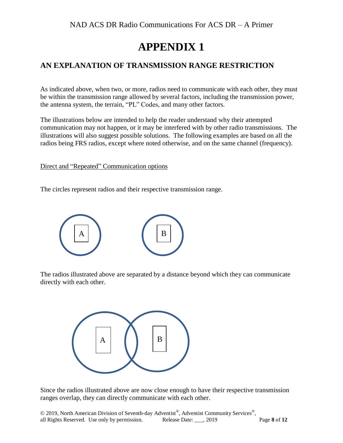### **APPENDIX 1**

#### **AN EXPLANATION OF TRANSMISSION RANGE RESTRICTION**

As indicated above, when two, or more, radios need to communicate with each other, they must be within the transmission range allowed by several factors, including the transmission power, the antenna system, the terrain, "PL" Codes, and many other factors.

The illustrations below are intended to help the reader understand why their attempted communication may not happen, or it may be interfered with by other radio transmissions. The illustrations will also suggest possible solutions. The following examples are based on all the radios being FRS radios, except where noted otherwise, and on the same channel (frequency).

Direct and "Repeated" Communication options

The circles represent radios and their respective transmission range.



The radios illustrated above are separated by a distance beyond which they can communicate directly with each other.



Since the radios illustrated above are now close enough to have their respective transmission ranges overlap, they can directly communicate with each other.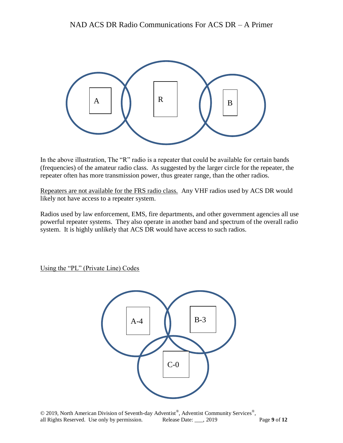

In the above illustration, The "R" radio is a repeater that could be available for certain bands (frequencies) of the amateur radio class. As suggested by the larger circle for the repeater, the repeater often has more transmission power, thus greater range, than the other radios.

Repeaters are not available for the FRS radio class. Any VHF radios used by ACS DR would likely not have access to a repeater system.

Radios used by law enforcement, EMS, fire departments, and other government agencies all use powerful repeater systems. They also operate in another band and spectrum of the overall radio system. It is highly unlikely that ACS DR would have access to such radios.

Using the "PL" (Private Line) Codes

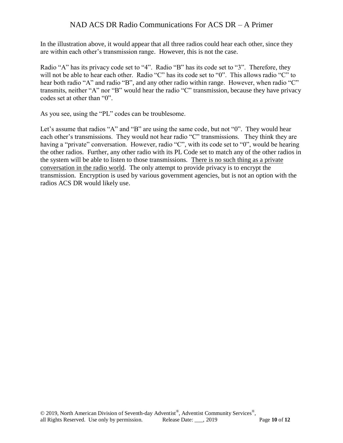In the illustration above, it would appear that all three radios could hear each other, since they are within each other's transmission range. However, this is not the case.

Radio "A" has its privacy code set to "4". Radio "B" has its code set to "3". Therefore, they will not be able to hear each other. Radio "C" has its code set to "0". This allows radio "C" to hear both radio "A" and radio "B", and any other radio within range. However, when radio "C" transmits, neither "A" nor "B" would hear the radio "C" transmission, because they have privacy codes set at other than "0".

As you see, using the "PL" codes can be troublesome.

Let's assume that radios "A" and "B" are using the same code, but not "0". They would hear each other's transmissions. They would not hear radio "C" transmissions. They think they are having a "private" conversation. However, radio "C", with its code set to "0", would be hearing the other radios. Further, any other radio with its PL Code set to match any of the other radios in the system will be able to listen to those transmissions. There is no such thing as a private conversation in the radio world. The only attempt to provide privacy is to encrypt the transmission. Encryption is used by various government agencies, but is not an option with the radios ACS DR would likely use.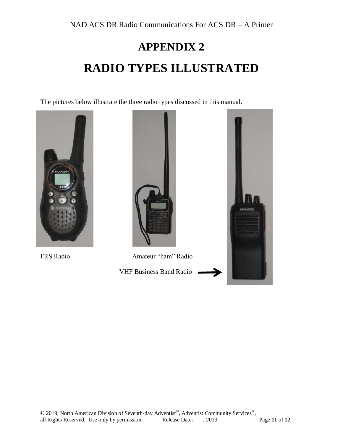## **APPENDIX 2 RADIO TYPES ILLUSTRATED**

The pictures below illustrate the three radio types discussed in this manual.